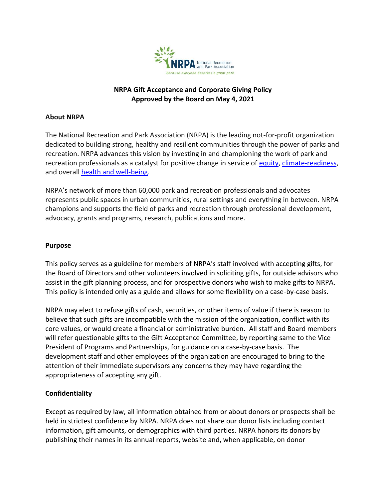

### **NRPA Gift Acceptance and Corporate Giving Policy Approved by the Board on May 4, 2021**

#### **About NRPA**

The National Recreation and Park Association (NRPA) is the leading not-for-profit organization dedicated to building strong, healthy and resilient communities through the power of parks and recreation. NRPA advances this vision by investing in and championing the work of park and recreation professionals as a catalyst for positive change in service of [equity,](https://www.nrpa.org/our-work/Three-Pillars/equity/) [climate-readiness,](https://www.nrpa.org/our-work/Three-Pillars/conservation/) and overall [health and well-being.](https://www.nrpa.org/our-work/Three-Pillars/health-wellness/)

NRPA's network of more than 60,000 park and recreation professionals and advocates represents public spaces in urban communities, rural settings and everything in between. NRPA champions and supports the field of parks and recreation through professional development, advocacy, grants and programs, research, publications and more.

#### **Purpose**

This policy serves as a guideline for members of NRPA's staff involved with accepting gifts, for the Board of Directors and other volunteers involved in soliciting gifts, for outside advisors who assist in the gift planning process, and for prospective donors who wish to make gifts to NRPA. This policy is intended only as a guide and allows for some flexibility on a case-by-case basis.

NRPA may elect to refuse gifts of cash, securities, or other items of value if there is reason to believe that such gifts are incompatible with the mission of the organization, conflict with its core values, or would create a financial or administrative burden. All staff and Board members will refer questionable gifts to the Gift Acceptance Committee, by reporting same to the Vice President of Programs and Partnerships, for guidance on a case-by-case basis. The development staff and other employees of the organization are encouraged to bring to the attention of their immediate supervisors any concerns they may have regarding the appropriateness of accepting any gift.

### **Confidentiality**

Except as required by law, all information obtained from or about donors or prospects shall be held in strictest confidence by NRPA. NRPA does not share our donor lists including contact information, gift amounts, or demographics with third parties. NRPA honors its donors by publishing their names in its annual reports, website and, when applicable, on donor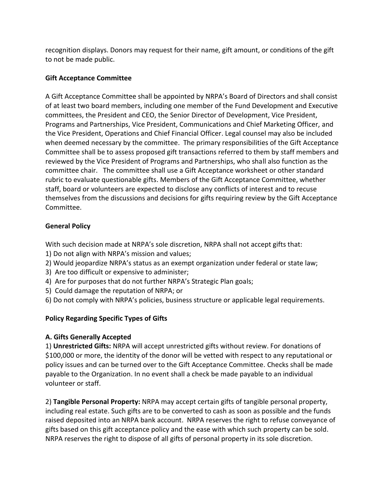recognition displays. Donors may request for their name, gift amount, or conditions of the gift to not be made public.

#### **Gift Acceptance Committee**

A Gift Acceptance Committee shall be appointed by NRPA's Board of Directors and shall consist of at least two board members, including one member of the Fund Development and Executive committees, the President and CEO, the Senior Director of Development, Vice President, Programs and Partnerships, Vice President, Communications and Chief Marketing Officer, and the Vice President, Operations and Chief Financial Officer. Legal counsel may also be included when deemed necessary by the committee. The primary responsibilities of the Gift Acceptance Committee shall be to assess proposed gift transactions referred to them by staff members and reviewed by the Vice President of Programs and Partnerships, who shall also function as the committee chair. The committee shall use a Gift Acceptance worksheet or other standard rubric to evaluate questionable gifts. Members of the Gift Acceptance Committee, whether staff, board or volunteers are expected to disclose any conflicts of interest and to recuse themselves from the discussions and decisions for gifts requiring review by the Gift Acceptance Committee.

### **General Policy**

With such decision made at NRPA's sole discretion, NRPA shall not accept gifts that:

- 1) Do not align with NRPA's mission and values;
- 2) Would jeopardize NRPA's status as an exempt organization under federal or state law;
- 3) Are too difficult or expensive to administer;
- 4) Are for purposes that do not further NRPA's Strategic Plan goals;
- 5) Could damage the reputation of NRPA; or
- 6) Do not comply with NRPA's policies, business structure or applicable legal requirements.

### **Policy Regarding Specific Types of Gifts**

### **A. Gifts Generally Accepted**

1) **Unrestricted Gifts:** NRPA will accept unrestricted gifts without review. For donations of \$100,000 or more, the identity of the donor will be vetted with respect to any reputational or policy issues and can be turned over to the Gift Acceptance Committee. Checks shall be made payable to the Organization. In no event shall a check be made payable to an individual volunteer or staff.

2) **Tangible Personal Property:** NRPA may accept certain gifts of tangible personal property, including real estate. Such gifts are to be converted to cash as soon as possible and the funds raised deposited into an NRPA bank account. NRPA reserves the right to refuse conveyance of gifts based on this gift acceptance policy and the ease with which such property can be sold. NRPA reserves the right to dispose of all gifts of personal property in its sole discretion.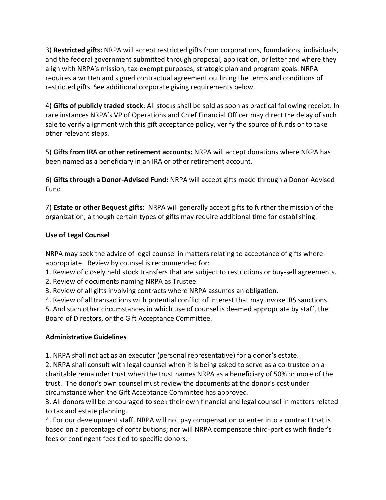3) **Restricted gifts:** NRPA will accept restricted gifts from corporations, foundations, individuals, and the federal government submitted through proposal, application, or letter and where they align with NRPA's mission, tax-exempt purposes, strategic plan and program goals. NRPA requires a written and signed contractual agreement outlining the terms and conditions of restricted gifts. See additional corporate giving requirements below.

4) **Gifts of publicly traded stock**: All stocks shall be sold as soon as practical following receipt. In rare instances NRPA's VP of Operations and Chief Financial Officer may direct the delay of such sale to verify alignment with this gift acceptance policy, verify the source of funds or to take other relevant steps.

5) **Gifts from IRA or other retirement accounts:** NRPA will accept donations where NRPA has been named as a beneficiary in an IRA or other retirement account.

6) **Gifts through a Donor-Advised Fund:** NRPA will accept gifts made through a Donor-Advised Fund.

7) **Estate or other Bequest gifts:** NRPA will generally accept gifts to further the mission of the organization, although certain types of gifts may require additional time for establishing.

## **Use of Legal Counsel**

NRPA may seek the advice of legal counsel in matters relating to acceptance of gifts where appropriate. Review by counsel is recommended for:

1. Review of closely held stock transfers that are subject to restrictions or buy-sell agreements.

2. Review of documents naming NRPA as Trustee.

3. Review of all gifts involving contracts where NRPA assumes an obligation.

4. Review of all transactions with potential conflict of interest that may invoke IRS sanctions.

5. And such other circumstances in which use of counsel is deemed appropriate by staff, the Board of Directors, or the Gift Acceptance Committee.

# **Administrative Guidelines**

1. NRPA shall not act as an executor (personal representative) for a donor's estate.

2. NRPA shall consult with legal counsel when it is being asked to serve as a co-trustee on a charitable remainder trust when the trust names NRPA as a beneficiary of 50% or more of the trust. The donor's own counsel must review the documents at the donor's cost under circumstance when the Gift Acceptance Committee has approved.

3. All donors will be encouraged to seek their own financial and legal counsel in matters related to tax and estate planning.

4. For our development staff, NRPA will not pay compensation or enter into a contract that is based on a percentage of contributions; nor will NRPA compensate third-parties with finder's fees or contingent fees tied to specific donors.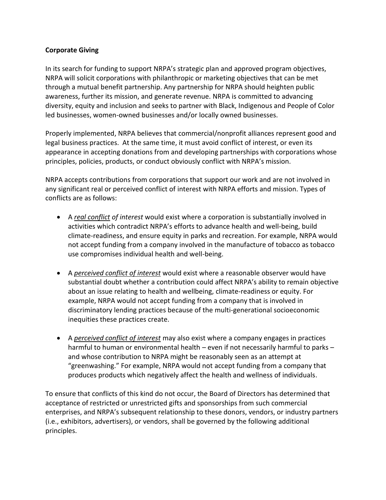#### **Corporate Giving**

In its search for funding to support NRPA's strategic plan and approved program objectives, NRPA will solicit corporations with philanthropic or marketing objectives that can be met through a mutual benefit partnership. Any partnership for NRPA should heighten public awareness, further its mission, and generate revenue. NRPA is committed to advancing diversity, equity and inclusion and seeks to partner with Black, Indigenous and People of Color led businesses, women-owned businesses and/or locally owned businesses.

Properly implemented, NRPA believes that commercial/nonprofit alliances represent good and legal business practices. At the same time, it must avoid conflict of interest, or even its appearance in accepting donations from and developing partnerships with corporations whose principles, policies, products, or conduct obviously conflict with NRPA's mission.

NRPA accepts contributions from corporations that support our work and are not involved in any significant real or perceived conflict of interest with NRPA efforts and mission. Types of conflicts are as follows:

- A *real conflict of interest* would exist where a corporation is substantially involved in activities which contradict NRPA's efforts to advance health and well-being, build climate-readiness, and ensure equity in parks and recreation. For example, NRPA would not accept funding from a company involved in the manufacture of tobacco as tobacco use compromises individual health and well-being.
- A *perceived conflict of interest* would exist where a reasonable observer would have substantial doubt whether a contribution could affect NRPA's ability to remain objective about an issue relating to health and wellbeing, climate-readiness or equity. For example, NRPA would not accept funding from a company that is involved in discriminatory lending practices because of the multi-generational socioeconomic inequities these practices create.
- A *perceived conflict of interest* may also exist where a company engages in practices harmful to human or environmental health – even if not necessarily harmful to parks – and whose contribution to NRPA might be reasonably seen as an attempt at "greenwashing." For example, NRPA would not accept funding from a company that produces products which negatively affect the health and wellness of individuals.

To ensure that conflicts of this kind do not occur, the Board of Directors has determined that acceptance of restricted or unrestricted gifts and sponsorships from such commercial enterprises, and NRPA's subsequent relationship to these donors, vendors, or industry partners (i.e., exhibitors, advertisers), or vendors, shall be governed by the following additional principles.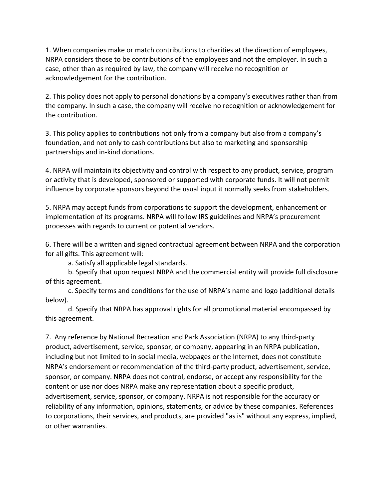1. When companies make or match contributions to charities at the direction of employees, NRPA considers those to be contributions of the employees and not the employer. In such a case, other than as required by law, the company will receive no recognition or acknowledgement for the contribution.

2. This policy does not apply to personal donations by a company's executives rather than from the company. In such a case, the company will receive no recognition or acknowledgement for the contribution.

3. This policy applies to contributions not only from a company but also from a company's foundation, and not only to cash contributions but also to marketing and sponsorship partnerships and in-kind donations.

4. NRPA will maintain its objectivity and control with respect to any product, service, program or activity that is developed, sponsored or supported with corporate funds. It will not permit influence by corporate sponsors beyond the usual input it normally seeks from stakeholders.

5. NRPA may accept funds from corporations to support the development, enhancement or implementation of its programs. NRPA will follow IRS guidelines and NRPA's procurement processes with regards to current or potential vendors.

6. There will be a written and signed contractual agreement between NRPA and the corporation for all gifts. This agreement will:

a. Satisfy all applicable legal standards.

b. Specify that upon request NRPA and the commercial entity will provide full disclosure of this agreement.

c. Specify terms and conditions for the use of NRPA's name and logo (additional details below).

d. Specify that NRPA has approval rights for all promotional material encompassed by this agreement.

7. Any reference by National Recreation and Park Association (NRPA) to any third-party product, advertisement, service, sponsor, or company, appearing in an NRPA publication, including but not limited to in social media, webpages or the Internet, does not constitute NRPA's endorsement or recommendation of the third-party product, advertisement, service, sponsor, or company. NRPA does not control, endorse, or accept any responsibility for the content or use nor does NRPA make any representation about a specific product, advertisement, service, sponsor, or company. NRPA is not responsible for the accuracy or reliability of any information, opinions, statements, or advice by these companies. References to corporations, their services, and products, are provided "as is" without any express, implied, or other warranties.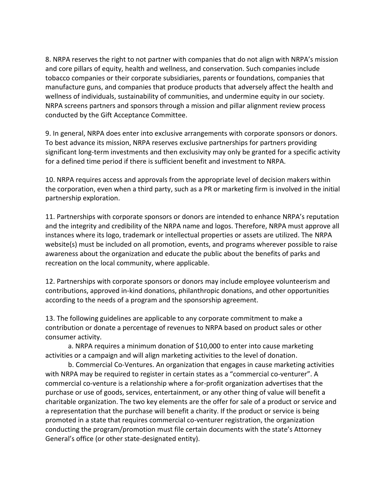8. NRPA reserves the right to not partner with companies that do not align with NRPA's mission and core pillars of equity, health and wellness, and conservation. Such companies include tobacco companies or their corporate subsidiaries, parents or foundations, companies that manufacture guns, and companies that produce products that adversely affect the health and wellness of individuals, sustainability of communities, and undermine equity in our society. NRPA screens partners and sponsors through a mission and pillar alignment review process conducted by the Gift Acceptance Committee.

9. In general, NRPA does enter into exclusive arrangements with corporate sponsors or donors. To best advance its mission, NRPA reserves exclusive partnerships for partners providing significant long-term investments and then exclusivity may only be granted for a specific activity for a defined time period if there is sufficient benefit and investment to NRPA.

10. NRPA requires access and approvals from the appropriate level of decision makers within the corporation, even when a third party, such as a PR or marketing firm is involved in the initial partnership exploration.

11. Partnerships with corporate sponsors or donors are intended to enhance NRPA's reputation and the integrity and credibility of the NRPA name and logos. Therefore, NRPA must approve all instances where its logo, trademark or intellectual properties or assets are utilized. The NRPA website(s) must be included on all promotion, events, and programs wherever possible to raise awareness about the organization and educate the public about the benefits of parks and recreation on the local community, where applicable.

12. Partnerships with corporate sponsors or donors may include employee volunteerism and contributions, approved in-kind donations, philanthropic donations, and other opportunities according to the needs of a program and the sponsorship agreement.

13. The following guidelines are applicable to any corporate commitment to make a contribution or donate a percentage of revenues to NRPA based on product sales or other consumer activity.

a. NRPA requires a minimum donation of \$10,000 to enter into cause marketing activities or a campaign and will align marketing activities to the level of donation.

b. Commercial Co-Ventures. An organization that engages in cause marketing activities with NRPA may be required to register in certain states as a "commercial co-venturer". A commercial co-venture is a relationship where a for-profit organization advertises that the purchase or use of goods, services, entertainment, or any other thing of value will benefit a charitable organization. The two key elements are the offer for sale of a product or service and a representation that the purchase will benefit a charity. If the product or service is being promoted in a state that requires commercial co-venturer registration, the organization conducting the program/promotion must file certain documents with the state's Attorney General's office (or other state-designated entity).